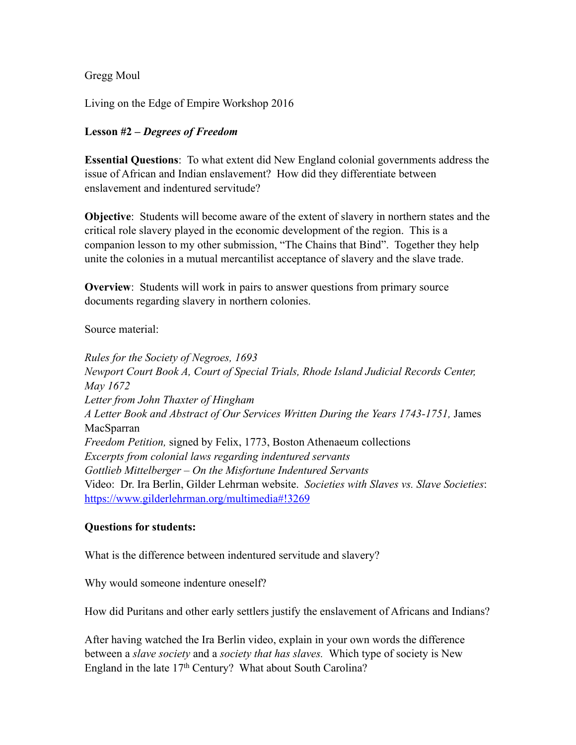Gregg Moul

Living on the Edge of Empire Workshop 2016

## **Lesson #2 –** *Degrees of Freedom*

**Essential Questions**: To what extent did New England colonial governments address the issue of African and Indian enslavement? How did they differentiate between enslavement and indentured servitude?

**Objective**: Students will become aware of the extent of slavery in northern states and the critical role slavery played in the economic development of the region. This is a companion lesson to my other submission, "The Chains that Bind". Together they help unite the colonies in a mutual mercantilist acceptance of slavery and the slave trade.

**Overview**: Students will work in pairs to answer questions from primary source documents regarding slavery in northern colonies.

Source material:

*Rules for the Society of Negroes, 1693 Newport Court Book A, Court of Special Trials, Rhode Island Judicial Records Center, May 1672 Letter from John Thaxter of Hingham A Letter Book and Abstract of Our Services Written During the Years 1743-1751,* James MacSparran *Freedom Petition,* signed by Felix, 1773, Boston Athenaeum collections *Excerpts from colonial laws regarding indentured servants Gottlieb Mittelberger – On the Misfortune Indentured Servants*  Video: Dr. Ira Berlin, Gilder Lehrman website. *Societies with Slaves vs. Slave Societies*: [https://www.gilderlehrman.org/multimedia#!3269](https://www.gilderlehrman.org/multimedia%23!3269) 

## **Questions for students:**

What is the difference between indentured servitude and slavery?

Why would someone indenture oneself?

How did Puritans and other early settlers justify the enslavement of Africans and Indians?

After having watched the Ira Berlin video, explain in your own words the difference between a *slave society* and a *society that has slaves.* Which type of society is New England in the late 17<sup>th</sup> Century? What about South Carolina?